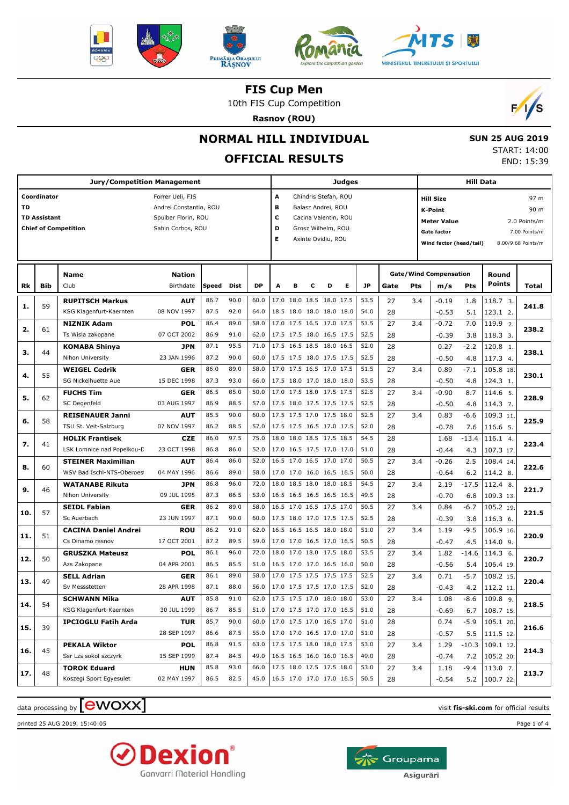







10th FIS Cup Competition

**Rasnov (ROU)**



 **SUN 25 AUG 2019** START: 14:00 END: 15:39

# **NORMAL HILL INDIVIDUAL**

# **OFFICIAL RESULTS**

| <b>Jury/Competition Management</b> |                     |                             |                        |       |      |                                 |                          | <b>Judges</b>              |   |                      |   |           |      |     |                                               | <b>Hill Data</b> |                        |               |  |  |
|------------------------------------|---------------------|-----------------------------|------------------------|-------|------|---------------------------------|--------------------------|----------------------------|---|----------------------|---|-----------|------|-----|-----------------------------------------------|------------------|------------------------|---------------|--|--|
|                                    | Coordinator         |                             | Forrer Ueli, FIS       |       |      |                                 | A                        |                            |   | Chindris Stefan, ROU |   |           |      |     | <b>Hill Size</b>                              |                  |                        | 97 m          |  |  |
| TD                                 |                     |                             | Andrei Constantin, ROU |       |      |                                 | в                        |                            |   | Balasz Andrei, ROU   |   |           |      |     | <b>K-Point</b>                                |                  |                        | 90 m          |  |  |
|                                    | <b>TD Assistant</b> |                             | Spulber Florin, ROU    |       |      |                                 | c                        |                            |   | Cacina Valentin, ROU |   |           |      |     | <b>Meter Value</b><br>2.0 Points/m            |                  |                        |               |  |  |
|                                    |                     | <b>Chief of Competition</b> | Sabin Corbos, ROU      |       |      |                                 | D                        |                            |   | Grosz Wilhelm, ROU   |   |           |      |     | <b>Gate factor</b>                            |                  |                        | 7.00 Points/m |  |  |
|                                    |                     |                             |                        |       |      |                                 | Е                        |                            |   | Axinte Ovidiu, ROU   |   |           |      |     | Wind factor (head/tail)<br>8.00/9.68 Points/m |                  |                        |               |  |  |
|                                    |                     |                             |                        |       |      |                                 |                          |                            |   |                      |   |           |      |     |                                               |                  |                        |               |  |  |
|                                    |                     |                             |                        |       |      |                                 |                          |                            |   |                      |   |           |      |     |                                               |                  |                        |               |  |  |
|                                    |                     | <b>Name</b>                 | <b>Nation</b>          |       |      |                                 |                          |                            |   |                      |   |           |      |     | <b>Gate/Wind Compensation</b>                 |                  | Round<br><b>Points</b> |               |  |  |
| Rk                                 | Bib                 | Club                        | Birthdate              | Speed | Dist | <b>DP</b>                       | A                        | в                          | с | D                    | Е | <b>JP</b> | Gate | Pts | m/s                                           | Pts              |                        | Total         |  |  |
| 1.                                 | 59                  | <b>RUPITSCH Markus</b>      | <b>AUT</b>             | 86.7  | 90.0 | 60.0                            |                          | 17.0 18.0 18.5 18.0 17.5   |   |                      |   | 53.5      | 27   | 3.4 | $-0.19$                                       | 1.8              | 118.7 3.               | 241.8         |  |  |
|                                    |                     | KSG Klagenfurt-Kaernten     | 08 NOV 1997            | 87.5  | 92.0 | 64.0                            |                          | 18.5 18.0 18.0 18.0 18.0   |   |                      |   | 54.0      | 28   |     | $-0.53$                                       | 5.1              | 123.1 2.               |               |  |  |
| 2.                                 | 61                  | <b>NIZNIK Adam</b>          | <b>POL</b>             | 86.4  | 89.0 | 58.0                            |                          | 17.0 17.5 16.5 17.0 17.5   |   |                      |   | 51.5      | 27   | 3.4 | $-0.72$                                       | 7.0              | 119.9 2.               | 238.2         |  |  |
|                                    |                     | Ts Wisla zakopane           | 07 OCT 2002            | 86.9  | 91.0 | 62.0                            |                          | 17.5 17.5 18.0 16.5 17.5   |   |                      |   | 52.5      | 28   |     | $-0.39$                                       | 3.8              | 118.3 3.               |               |  |  |
| з.                                 | 44                  | <b>KOMABA Shinya</b>        | <b>JPN</b>             | 87.1  | 95.5 | 71.0                            |                          | 17.5 16.5 18.5 18.0 16.5   |   |                      |   | 52.0      | 28   |     | 0.27                                          | $-2.2$           | 120.8 1.               | 238.1         |  |  |
|                                    |                     | Nihon University            | 23 JAN 1996            | 87.2  | 90.0 | 60.0                            |                          | 17.5 17.5 18.0 17.5 17.5   |   |                      |   | 52.5      | 28   |     | $-0.50$                                       | 4.8              | 117.3 4.               |               |  |  |
|                                    | 55                  | <b>WEIGEL Cedrik</b>        | <b>GER</b>             | 86.0  | 89.0 | 58.0                            |                          | 17.0 17.5 16.5 17.0 17.5   |   |                      |   | 51.5      | 27   | 3.4 | 0.89                                          | $-7.1$           | 105.8 18.              | 230.1         |  |  |
| 4.                                 |                     | SG Nickelhuette Aue         | 15 DEC 1998            | 87.3  | 93.0 | 66.0                            |                          | 17.5 18.0 17.0 18.0 18.0   |   |                      |   | 53.5      | 28   |     | $-0.50$                                       | 4.8              | 124.3 1.               |               |  |  |
|                                    |                     | <b>FUCHS Tim</b>            | <b>GER</b>             | 86.5  | 85.0 | 50.0                            |                          | 17.0 17.5 18.0 17.5 17.5   |   |                      |   | 52.5      | 27   | 3.4 | $-0.90$                                       | 8.7              | 114.6 5.               |               |  |  |
| 5.                                 | 62                  | SC Degenfeld                | 03 AUG 1997            | 86.9  | 88.5 | 57.0                            |                          | 17.5 18.0 17.5 17.5 17.5   |   |                      |   | 52.5      | 28   |     | $-0.50$                                       | 4.8              | 114.3 7.               | 228.9         |  |  |
|                                    |                     | <b>REISENAUER Janni</b>     | <b>AUT</b>             | 85.5  | 90.0 | 60.0                            |                          | 17.5 17.5 17.0 17.5 18.0   |   |                      |   | 52.5      | 27   | 3.4 | 0.83                                          | $-6.6$           | 109.3 11.              |               |  |  |
| 6.                                 | 58                  | TSU St. Veit-Salzburg       | 07 NOV 1997            | 86.2  | 88.5 | 57.0                            |                          | 17.5 17.5 16.5 17.0 17.5   |   |                      |   | 52.0      | 28   |     | $-0.78$                                       | 7.6              | 116.6 5.               | 225.9         |  |  |
|                                    |                     | <b>HOLIK Frantisek</b>      | <b>CZE</b>             | 86.0  | 97.5 | 75.0                            |                          | 18.0 18.0 18.5 17.5 18.5   |   |                      |   | 54.5      | 28   |     | 1.68                                          | $-13.4$          | 116.1 4.               |               |  |  |
| 7.                                 | 41                  | LSK Lomnice nad Popelkou-C  | 23 OCT 1998            | 86.8  | 86.0 | 52.0                            |                          | 17.0 16.5 17.5 17.0 17.0   |   |                      |   | 51.0      | 28   |     | $-0.44$                                       | 4.3              | 107.3 17.              | 223.4         |  |  |
|                                    |                     | <b>STEINER Maximilian</b>   | <b>AUT</b>             | 86.4  | 86.0 | 52.0                            |                          | 16.5 17.0 16.5 17.0 17.0   |   |                      |   | 50.5      | 27   | 3.4 | $-0.26$                                       | 2.5              | 108.4 14.              |               |  |  |
| 8.                                 | 60                  | WSV Bad Ischl-NTS-Oberoes   | 04 MAY 1996            | 86.6  | 89.0 | 58.0                            |                          | 17.0 17.0 16.0 16.5 16.5   |   |                      |   | 50.0      | 28   |     | $-0.64$                                       | 6.2              | 114.2 8.               | 222.6         |  |  |
|                                    |                     | <b>WATANABE Rikuta</b>      | <b>JPN</b>             | 86.8  | 96.0 | 72.0                            |                          | 18.0 18.5 18.0 18.0 18.5   |   |                      |   | 54.5      | 27   | 3.4 | 2.19                                          | $-17.5$          | 112.4 8.               |               |  |  |
| 9.                                 | 46                  | Nihon University            | 09 JUL 1995            | 87.3  | 86.5 | 53.0                            |                          | 16.5 16.5 16.5 16.5 16.5   |   |                      |   | 49.5      | 28   |     | $-0.70$                                       | 6.8              | 109.3 13.              | 221.7         |  |  |
|                                    |                     | <b>SEIDL Fabian</b>         | <b>GER</b>             | 86.2  | 89.0 | 58.0                            |                          | 16.5 17.0 16.5 17.5 17.0   |   |                      |   | 50.5      | 27   | 3.4 | 0.84                                          | $-6.7$           | 105.2 19.              |               |  |  |
| 10.                                | 57                  | Sc Auerbach                 | 23 JUN 1997            | 87.1  | 90.0 | 60.0                            |                          | 17.5 18.0 17.0 17.5 17.5   |   |                      |   | 52.5      | 28   |     | $-0.39$                                       | 3.8              | 116.3 6.               | 221.5         |  |  |
|                                    |                     | <b>CACINA Daniel Andrei</b> | <b>ROU</b>             | 86.2  | 91.0 | 62.0                            |                          | 16.5 16.5 16.5 18.0 18.0   |   |                      |   | 51.0      | 27   | 3.4 | 1.19                                          | $-9.5$           | 106.9 16.              |               |  |  |
| 11.                                | 51                  | Cs Dinamo rasnov            | 17 OCT 2001            | 87.2  | 89.5 | 59.0                            |                          | 17.0 17.0 16.5 17.0 16.5   |   |                      |   | 50.5      | 28   |     | $-0.47$                                       | 4.5              | $114.0$ 9.             | 220.9         |  |  |
|                                    |                     | <b>GRUSZKA Mateusz</b>      | <b>POL</b>             | 86.1  | 96.0 | 72.0                            |                          | 18.0 17.0 18.0 17.5 18.0   |   |                      |   | 53.5      | 27   | 3.4 | 1.82                                          | $-14.6$          | 114.36.                |               |  |  |
| 12.                                | 50                  | Azs Zakopane                | 04 APR 2001            | 86.5  | 85.5 | 51.0                            |                          | 16.5 17.0 17.0 16.5 16.0   |   |                      |   | 50.0      | 28   |     | $-0.56$                                       | 5.4              | 106.4 19.              | 220.7         |  |  |
|                                    |                     | <b>SELL Adrian</b>          | <b>GER</b>             | 86.1  | 89.0 | 58.0                            |                          | 17.0 17.5 17.5 17.5 17.5   |   |                      |   | 52.5      | 27   | 3.4 | 0.71                                          | $-5.7$           | 108.2 15.              |               |  |  |
| 13.                                | 49                  | Sv Messstetten              | 28 APR 1998            | 87.1  | 88.0 | 56.0                            |                          | 17.0 17.5 17.5 17.0 17.5   |   |                      |   | 52.0      | 28   |     | $-0.43$                                       | 4.2              | 112.2 11.              | 220.4         |  |  |
|                                    |                     | <b>SCHWANN Mika</b>         | AUT                    | 85.8  | 91.0 | 62.0                            | 17.5 17.5 17.0 18.0 18.0 |                            |   |                      |   | 53.0      | 27   | 3.4 | 1.08                                          | $-8.6$           | 109.8 9.               |               |  |  |
| 14.                                | 54                  | KSG Klagenfurt-Kaernten     | 30 JUL 1999            | 86.7  | 85.5 | 51.0                            |                          | $17.0$ 17.5 17.0 17.0 16.5 |   |                      |   | 51.0      | 28   |     | $-0.69$                                       | 6.7              | 108.7 15.              | 218.5         |  |  |
|                                    |                     | <b>IPCIOGLU Fatih Arda</b>  | <b>TUR</b>             | 85.7  | 90.0 | 60.0                            |                          | 17.0 17.5 17.0 16.5 17.0   |   |                      |   | 51.0      | 28   |     | 0.74                                          | $-5.9$           | 105.1 20.              |               |  |  |
| 15.                                | 39                  |                             | 28 SEP 1997            | 86.6  | 87.5 | 55.0                            |                          | $17.0$ 17.0 16.5 17.0 17.0 |   |                      |   | 51.0      | 28   |     | $-0.57$                                       | 5.5              | 111.5 12.              | 216.6         |  |  |
|                                    |                     | <b>PEKALA Wiktor</b>        | <b>POL</b>             | 86.8  | 91.5 | 63.0                            |                          | 17.5 17.5 18.0 18.0 17.5   |   |                      |   | 53.0      | 27   | 3.4 | 1.29                                          | $-10.3$          | $109.1$ 12.            |               |  |  |
| 16.                                | 45                  | Ssr Lzs sokol szczyrk       | 15 SEP 1999            | 87.4  | 84.5 | 49.0                            |                          | $16.5$ 16.5 16.0 16.0 16.5 |   |                      |   | 49.0      | 28   |     | $-0.74$                                       |                  | 105.2 20.              | 214.3         |  |  |
|                                    |                     | <b>TOROK Eduard</b>         | <b>HUN</b>             | 85.8  | 93.0 | 66.0                            |                          | 17.5 18.0 17.5 17.5 18.0   |   |                      |   | 53.0      | 27   | 3.4 | 1.18                                          | 7.2<br>$-9.4$    | 113.0 7.               |               |  |  |
| 17.                                | 48                  | Koszegi Sport Egyesulet     | 02 MAY 1997            | 86.5  | 82.5 | 45.0   16.5 17.0 17.0 17.0 16.5 |                          |                            |   |                      |   | 50.5      | 28   |     | $-0.54$                                       |                  | $5.2$   100.7 22.      | 213.7         |  |  |
|                                    |                     |                             |                        |       |      |                                 |                          |                            |   |                      |   |           |      |     |                                               |                  |                        |               |  |  |

# $\frac{1}{2}$  data processing by  $\boxed{\text{ewOX}}$

printed 25 AUG 2019, 15:40:05 Page 1 of 4



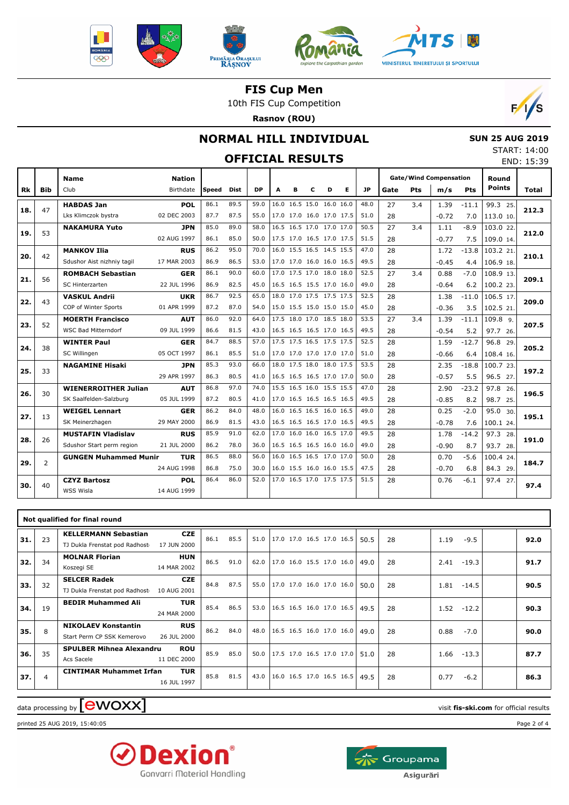







10th FIS Cup Competition

**Rasnov (ROU)**



# **NORMAL HILL INDIVIDUAL**

# **OFFICIAL RESULTS**

| <b>SUN 25 AUG 2019</b> |            |
|------------------------|------------|
| START: 14:00           |            |
|                        | END: 15:39 |

|           |                |                              |               |       |             |           |      |                          |   |   |   |           |      |     |                               |         |                        | ヒバレ・エフ・フン |
|-----------|----------------|------------------------------|---------------|-------|-------------|-----------|------|--------------------------|---|---|---|-----------|------|-----|-------------------------------|---------|------------------------|-----------|
|           |                | <b>Name</b>                  | <b>Nation</b> |       |             |           |      |                          |   |   |   |           |      |     | <b>Gate/Wind Compensation</b> |         | Round<br><b>Points</b> |           |
| <b>Rk</b> | <b>Bib</b>     | Club                         | Birthdate     | Speed | <b>Dist</b> | <b>DP</b> | A    | в                        | c | D | Е | <b>JP</b> | Gate | Pts | m/s                           | Pts     |                        | Total     |
|           |                | <b>HABDAS Jan</b>            | <b>POL</b>    | 86.1  | 89.5        | 59.0      |      | 16.0 16.5 15.0 16.0 16.0 |   |   |   | 48.0      | 27   | 3.4 | 1.39                          | $-11.1$ | 99.3 25.               |           |
| 18.       | 47             | Lks Klimczok bystra          | 02 DEC 2003   | 87.7  | 87.5        | 55.0      |      | 17.0 17.0 16.0 17.0 17.5 |   |   |   | 51.0      | 28   |     | $-0.72$                       | 7.0     | 113.0 10.              | 212.3     |
|           |                | <b>NAKAMURA Yuto</b>         | <b>JPN</b>    | 85.0  | 89.0        | 58.0      |      | 16.5 16.5 17.0 17.0 17.0 |   |   |   | 50.5      | 27   | 3.4 | 1.11                          | $-8.9$  | 103.0 22.              |           |
| 19.       | 53             |                              | 02 AUG 1997   | 86.1  | 85.0        | 50.0      |      | 17.5 17.0 16.5 17.0 17.5 |   |   |   | 51.5      | 28   |     | $-0.77$                       | 7.5     | 109.0 14.              | 212.0     |
|           |                | <b>MANKOV Ilia</b>           | <b>RUS</b>    | 86.2  | 95.0        | 70.0      |      | 16.0 15.5 16.5 14.5 15.5 |   |   |   | 47.0      | 28   |     | 1.72                          | $-13.8$ | 103.2 21.              |           |
| 20.       | 42             | Sdushor Aist nizhniy taqil   | 17 MAR 2003   | 86.9  | 86.5        | 53.0      |      | 17.0 17.0 16.0 16.0 16.5 |   |   |   | 49.5      | 28   |     | $-0.45$                       | 4.4     | 106.9 18.              | 210.1     |
|           | 56             | <b>ROMBACH Sebastian</b>     | <b>GER</b>    | 86.1  | 90.0        | 60.0      |      | 17.0 17.5 17.0 18.0 18.0 |   |   |   | 52.5      | 27   | 3.4 | 0.88                          | $-7.0$  | 108.9 13.              |           |
| 21.       |                | <b>SC Hinterzarten</b>       | 22 JUL 1996   | 86.9  | 82.5        | 45.0      |      | 16.5 16.5 15.5 17.0 16.0 |   |   |   | 49.0      | 28   |     | $-0.64$                       | 6.2     | 100.2 23.              | 209.1     |
|           |                | <b>VASKUL Andrii</b>         | <b>UKR</b>    | 86.7  | 92.5        | 65.0      |      | 18.0 17.0 17.5 17.5 17.5 |   |   |   | 52.5      | 28   |     | 1.38                          | $-11.0$ | 106.5 17.              |           |
| 22.       | 43             | COP of Winter Sports         | 01 APR 1999   | 87.2  | 87.0        | 54.0      |      | 15.0 15.5 15.0 15.0 15.0 |   |   |   | 45.0      | 28   |     | $-0.36$                       | 3.5     | 102.5 21.              | 209.0     |
| 23.       | 52             | <b>MOERTH Francisco</b>      | <b>AUT</b>    | 86.0  | 92.0        | 64.0      |      | 17.5 18.0 17.0 18.5 18.0 |   |   |   | 53.5      | 27   | 3.4 | 1.39                          | $-11.1$ | 109.8 9.               |           |
|           |                | <b>WSC Bad Mitterndorf</b>   | 09 JUL 1999   | 86.6  | 81.5        | 43.0      |      | 16.5 16.5 16.5 17.0 16.5 |   |   |   | 49.5      | 28   |     | $-0.54$                       | 5.2     | 97.7 26.               | 207.5     |
|           |                | <b>WINTER Paul</b>           | <b>GER</b>    | 84.7  | 88.5        | 57.0      |      | 17.5 17.5 16.5 17.5 17.5 |   |   |   | 52.5      | 28   |     | 1.59                          | $-12.7$ | 96.8 29.               |           |
| 24.       | 38             | SC Willingen                 | 05 OCT 1997   | 86.1  | 85.5        | 51.0      |      | 17.0 17.0 17.0 17.0 17.0 |   |   |   | 51.0      | 28   |     | $-0.66$                       | 6.4     | 108.4 16.              | 205.2     |
|           |                | <b>NAGAMINE Hisaki</b>       | <b>JPN</b>    | 85.3  | 93.0        | 66.0      |      | 18.0 17.5 18.0 18.0 17.5 |   |   |   | 53.5      | 28   |     | 2.35                          | $-18.8$ | 100.7 23.              |           |
| 25.       | 33             |                              | 29 APR 1997   | 86.3  | 80.5        | 41.0      |      | 16.5 16.5 16.5 17.0 17.0 |   |   |   | 50.0      | 28   |     | $-0.57$                       | 5.5     | 96.5 27.               | 197.2     |
|           |                | <b>WIENERROITHER Julian</b>  | <b>AUT</b>    | 86.8  | 97.0        | 74.0      |      | 15.5 16.5 16.0 15.5 15.5 |   |   |   | 47.0      | 28   |     | 2.90                          | $-23.2$ | 97.8 26.               |           |
| 26.       | 30             | SK Saalfelden-Salzburg       | 05 JUL 1999   | 87.2  | 80.5        | 41.0      |      | 17.0 16.5 16.5 16.5 16.5 |   |   |   | 49.5      | 28   |     | $-0.85$                       | 8.2     | 98.7 25.               | 196.5     |
|           |                | <b>WEIGEL Lennart</b>        | <b>GER</b>    | 86.2  | 84.0        | 48.0      | 16.0 | 16.5 16.5 16.0 16.5      |   |   |   | 49.0      | 28   |     | 0.25                          | $-2.0$  | 95.0 30.               | 195.1     |
| 27.       | 13             | SK Meinerzhagen              | 29 MAY 2000   | 86.9  | 81.5        | 43.0      |      | 16.5 16.5 16.5 17.0 16.5 |   |   |   | 49.5      | 28   |     | $-0.78$                       | 7.6     | 100.1 24.              |           |
|           | 26             | <b>MUSTAFIN Vladislav</b>    | <b>RUS</b>    | 85.9  | 91.0        | 62.0      |      | 17.0 16.0 16.0 16.5 17.0 |   |   |   | 49.5      | 28   |     | 1.78                          | $-14.2$ | 97.3 28.               |           |
| 28.       |                | Sdushor Start perm region    | 21 JUL 2000   | 86.2  | 78.0        | 36.0      |      | 16.5 16.5 16.5 16.0 16.0 |   |   |   | 49.0      | 28   |     | $-0.90$                       | 8.7     | 93.7 28.               | 191.0     |
|           |                | <b>GUNGEN Muhammed Munir</b> | <b>TUR</b>    | 86.5  | 88.0        | 56.0      |      | 16.0 16.5 16.5 17.0 17.0 |   |   |   | 50.0      | 28   |     | 0.70                          | $-5.6$  | 100.4 24.              |           |
| 29.       | $\overline{2}$ |                              | 24 AUG 1998   | 86.8  | 75.0        | 30.0      |      | 16.0 15.5 16.0 16.0 15.5 |   |   |   | 47.5      | 28   |     | $-0.70$                       | 6.8     | 84.3 29.               | 184.7     |
|           |                | <b>CZYZ Bartosz</b>          | <b>POL</b>    | 86.4  | 86.0        | 52.0      |      | 17.0 16.5 17.0 17.5 17.5 |   |   |   | 51.5      | 28   |     | 0.76                          | $-6.1$  | 97.4 27.               |           |
| 30.       | 40             | WSS Wisla                    | 14 AUG 1999   |       |             |           |      |                          |   |   |   |           |      |     |                               |         |                        | 97.4      |
|           |                |                              |               |       |             |           |      |                          |   |   |   |           |      |     |                               |         |                        |           |

|     | Not qualified for final round |                                                              |                           |      |      |      |                                      |  |  |  |      |    |      |         |  |      |
|-----|-------------------------------|--------------------------------------------------------------|---------------------------|------|------|------|--------------------------------------|--|--|--|------|----|------|---------|--|------|
| 31. | 23                            | <b>KELLERMANN Sebastian</b><br>TJ Dukla Frenstat pod Radhost | <b>CZE</b><br>17 JUN 2000 | 86.1 | 85.5 | 51.0 | $ 17.0 \t17.0 \t16.5 \t17.0 \t16.5 $ |  |  |  | 50.5 | 28 | 1.19 | $-9.5$  |  | 92.0 |
| 32. | 34                            | <b>MOLNAR Florian</b><br>Koszegi SE                          | <b>HUN</b><br>14 MAR 2002 | 86.5 | 91.0 | 62.0 | 17.0 16.0 15.5 17.0 16.0             |  |  |  | 49.0 | 28 | 2.41 | $-19.3$ |  | 91.7 |
| 33. | 32                            | <b>SELCER Radek</b><br>TJ Dukla Frenstat pod Radhost         | <b>CZE</b><br>10 AUG 2001 | 84.8 | 87.5 | 55.0 | 17.0 17.0 16.0 17.0 16.0             |  |  |  | 50.0 | 28 | 1.81 | $-14.5$ |  | 90.5 |
| 34. | 19                            | <b>BEDIR Muhammed Ali</b>                                    | <b>TUR</b><br>24 MAR 2000 | 85.4 | 86.5 |      | 53.0 16.5 16.5 16.0 17.0 16.5 49.5   |  |  |  |      | 28 | 1.52 | $-12.2$ |  | 90.3 |
| 35. | 8                             | <b>NIKOLAEV Konstantin</b><br>Start Perm CP SSK Kemerovo     | <b>RUS</b><br>26 JUL 2000 | 86.2 | 84.0 | 48.0 | 16.5 16.5 16.0 17.0 16.0             |  |  |  | 49.0 | 28 | 0.88 | $-7.0$  |  | 90.0 |
| 36. | 35                            | <b>SPULBER Mihnea Alexandru</b><br>Acs Sacele                | <b>ROU</b><br>11 DEC 2000 | 85.9 | 85.0 |      | 50.0   17.5 17.0 16.5 17.0 17.0      |  |  |  | 51.0 | 28 | 1.66 | $-13.3$ |  | 87.7 |
| 37. | $\overline{4}$                | <b>CINTIMAR Muhammet Irfan</b>                               | <b>TUR</b><br>16 JUL 1997 | 85.8 | 81.5 | 43.0 | 16.0 16.5 17.0 16.5 16.5             |  |  |  | 49.5 | 28 | 0.77 | $-6.2$  |  | 86.3 |

### $\frac{1}{2}$  data processing by  $\boxed{\text{ewOX}}$

printed 25 AUG 2019, 15:40:05 Page 2 of 4



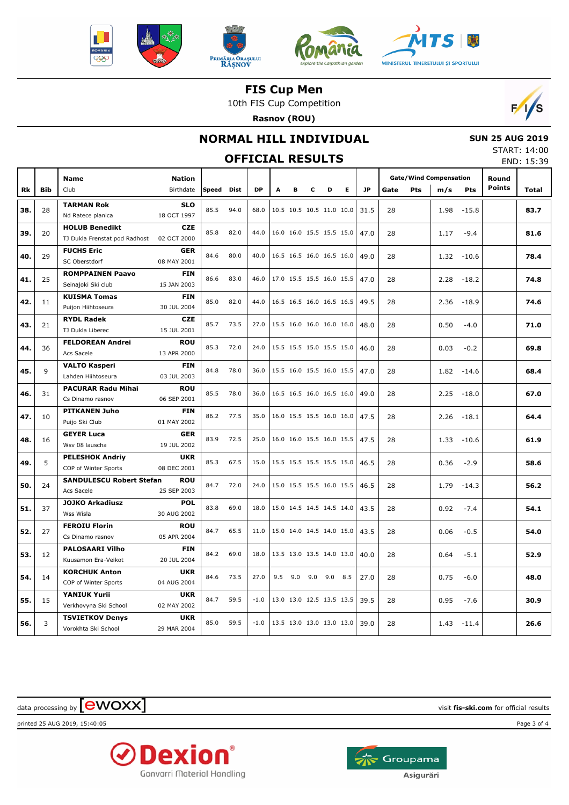







10th FIS Cup Competition

**Rasnov (ROU)**



# **NORMAL HILL INDIVIDUAL**

# **OFFICIAL RESULTS**

 **SUN 25 AUG 2019** START: 14:00 END: 15:39

|           |            | <b>Name</b>                           | <b>Nation</b>             |              |             |           |                          |     |     |     |     |           | <b>Gate/Wind Compensation</b> |     |      | Round   |               |              |
|-----------|------------|---------------------------------------|---------------------------|--------------|-------------|-----------|--------------------------|-----|-----|-----|-----|-----------|-------------------------------|-----|------|---------|---------------|--------------|
| <b>Rk</b> | <b>Bib</b> | Club                                  | Birthdate                 | <b>Speed</b> | <b>Dist</b> | <b>DP</b> | A                        | в   | c   | D   | E.  | <b>JP</b> | Gate                          | Pts | m/s  | Pts     | <b>Points</b> | <b>Total</b> |
|           |            | <b>TARMAN Rok</b>                     | <b>SLO</b>                |              |             |           |                          |     |     |     |     |           |                               |     |      |         |               |              |
| 38.       | 28         | Nd Ratece planica                     | 18 OCT 1997               | 85.5         | 94.0        | 68.0      | 10.5 10.5 10.5 11.0 10.0 |     |     |     |     | 31.5      | 28                            |     | 1.98 | $-15.8$ |               | 83.7         |
|           |            | <b>HOLUB Benedikt</b>                 | <b>CZE</b>                | 85.8         | 82.0        | 44.0      | 16.0 16.0 15.5 15.5 15.0 |     |     |     |     |           |                               |     |      |         |               |              |
| 39.       | 20         | TJ Dukla Frenstat pod Radhost         | 02 OCT 2000               |              |             |           |                          |     |     |     |     | 47.0      | 28                            |     | 1.17 | $-9.4$  |               | 81.6         |
| 40.       | 29         | <b>FUCHS Eric</b>                     | <b>GER</b>                | 84.6         | 80.0        | 40.0      | 16.5 16.5 16.0 16.5 16.0 |     |     |     |     | 49.0      | 28                            |     | 1.32 | $-10.6$ |               | 78.4         |
|           |            | SC Oberstdorf                         | 08 MAY 2001               |              |             |           |                          |     |     |     |     |           |                               |     |      |         |               |              |
| 41.       | 25         | <b>ROMPPAINEN Paavo</b>               | <b>FIN</b>                | 86.6         | 83.0        | 46.0      | 17.0 15.5 15.5 16.0 15.5 |     |     |     |     | 47.0      | 28                            |     | 2.28 | $-18.2$ |               | 74.8         |
|           |            | Seinajoki Ski club                    | 15 JAN 2003               |              |             |           |                          |     |     |     |     |           |                               |     |      |         |               |              |
| 42.       | 11         | <b>KUISMA Tomas</b>                   | <b>FIN</b>                | 85.0         | 82.0        | 44.0      | 16.5 16.5 16.0 16.5 16.5 |     |     |     |     | 49.5      | 28                            |     | 2.36 | $-18.9$ |               | 74.6         |
|           |            | Puijon Hiihtoseura                    | 30 JUL 2004               |              |             |           |                          |     |     |     |     |           |                               |     |      |         |               |              |
| 43.       | 21         | <b>RYDL Radek</b><br>TJ Dukla Liberec | <b>CZE</b><br>15 JUL 2001 | 85.7         | 73.5        | 27.0      | 15.5 16.0 16.0 16.0 16.0 |     |     |     |     | 48.0      | 28                            |     | 0.50 | $-4.0$  |               | 71.0         |
|           |            | <b>FELDOREAN Andrei</b>               | <b>ROU</b>                |              |             |           |                          |     |     |     |     |           |                               |     |      |         |               |              |
| 44.       | 36         | Acs Sacele                            | 13 APR 2000               | 85.3         | 72.0        | 24.0      | 15.5 15.5 15.0 15.5 15.0 |     |     |     |     | 46.0      | 28                            |     | 0.03 | $-0.2$  |               | 69.8         |
|           |            | <b>VALTO Kasperi</b>                  | <b>FIN</b>                |              |             |           |                          |     |     |     |     |           |                               |     |      |         |               |              |
| 45.       | 9          | Lahden Hiihtoseura                    | 03 JUL 2003               | 84.8         | 78.0        | 36.0      | 15.5 16.0 15.5 16.0 15.5 |     |     |     |     | 47.0      | 28                            |     | 1.82 | $-14.6$ |               | 68.4         |
|           |            | <b>PACURAR Radu Mihai</b>             | <b>ROU</b>                |              |             |           |                          |     |     |     |     |           |                               |     |      |         |               |              |
| 46.       | 31         | Cs Dinamo rasnov                      | 06 SEP 2001               | 85.5         | 78.0        | 36.0      | 16.5 16.5 16.0 16.5 16.0 |     |     |     |     | 49.0      | 28                            |     | 2.25 | $-18.0$ |               | 67.0         |
|           |            | <b>PITKANEN Juho</b>                  | <b>FIN</b>                |              |             |           |                          |     |     |     |     |           |                               |     |      |         |               |              |
| 47.       | 10         | Puijo Ski Club                        | 01 MAY 2002               | 86.2         | 77.5        | 35.0      | 16.0 15.5 15.5 16.0 16.0 |     |     |     |     | 47.5      | 28                            |     | 2.26 | $-18.1$ |               | 64.4         |
| 48.       | 16         | <b>GEYER Luca</b>                     | <b>GER</b>                | 83.9         | 72.5        | 25.0      | 16.0 16.0 15.5 16.0 15.5 |     |     |     |     | 47.5      | 28                            |     | 1.33 | $-10.6$ |               | 61.9         |
|           |            | Wsv 08 lauscha                        | 19 JUL 2002               |              |             |           |                          |     |     |     |     |           |                               |     |      |         |               |              |
| 49.       | 5          | <b>PELESHOK Andriv</b>                | <b>UKR</b>                | 85.3         | 67.5        | 15.0      | 15.5 15.5 15.5 15.5 15.0 |     |     |     |     | 46.5      | 28                            |     | 0.36 | $-2.9$  |               | 58.6         |
|           |            | COP of Winter Sports                  | 08 DEC 2001               |              |             |           |                          |     |     |     |     |           |                               |     |      |         |               |              |
| 50.       | 24         | <b>SANDULESCU Robert Stefan</b>       | <b>ROU</b>                | 84.7         | 72.0        | 24.0      | 15.0 15.5 15.5 16.0 15.5 |     |     |     |     | 46.5      | 28                            |     | 1.79 | $-14.3$ |               | 56.2         |
|           |            | Acs Sacele                            | 25 SEP 2003               |              |             |           |                          |     |     |     |     |           |                               |     |      |         |               |              |
| 51.       | 37         | <b>JOJKO Arkadiusz</b>                | <b>POL</b>                | 83.8         | 69.0        | 18.0      | 15.0 14.5 14.5 14.5 14.0 |     |     |     |     | 43.5      | 28                            |     | 0.92 | $-7.4$  |               | 54.1         |
|           |            | Wss Wisla<br><b>FEROIU Florin</b>     | 30 AUG 2002<br><b>ROU</b> |              |             |           |                          |     |     |     |     |           |                               |     |      |         |               |              |
| 52.       | 27         | Cs Dinamo rasnov                      | 05 APR 2004               | 84.7         | 65.5        | 11.0      | 15.0 14.0 14.5 14.0 15.0 |     |     |     |     | 43.5      | 28                            |     | 0.06 | $-0.5$  |               | 54.0         |
|           |            | <b>PALOSAARI Vilho</b>                | <b>FIN</b>                |              |             |           |                          |     |     |     |     |           |                               |     |      |         |               |              |
| 53.       | 12         | Kuusamon Era-Veikot                   | 20 JUL 2004               | 84.2         | 69.0        | 18.0      | 13.5 13.0 13.5 14.0 13.0 |     |     |     |     | 40.0      | 28                            |     | 0.64 | $-5.1$  |               | 52.9         |
|           |            | <b>KORCHUK Anton</b>                  | <b>UKR</b>                |              |             |           |                          |     |     |     |     |           |                               |     |      |         |               |              |
| 54.       | 14         | COP of Winter Sports                  | 04 AUG 2004               | 84.6         | 73.5        | 27.0      | 9.5                      | 9.0 | 9.0 | 9.0 | 8.5 | 27.0      | 28                            |     | 0.75 | $-6.0$  |               | 48.0         |
|           |            | <b>YANIUK Yurii</b>                   | <b>UKR</b>                |              |             |           |                          |     |     |     |     |           |                               |     |      |         |               |              |
| 55.       | 15         | Verkhovyna Ski School                 | 02 MAY 2002               | 84.7         | 59.5        | $-1.0$    | 13.0 13.0 12.5 13.5 13.5 |     |     |     |     | 39.5      | 28                            |     | 0.95 | $-7.6$  |               | 30.9         |
|           |            | <b>TSVIETKOV Denys</b>                | <b>UKR</b>                | 85.0         | 59.5        | $-1.0$    | 13.5 13.0 13.0 13.0 13.0 |     |     |     |     |           |                               |     |      |         |               |              |
| 56.       | 3          | Vorokhta Ski School                   | 29 MAR 2004               |              |             |           |                          |     |     |     |     | 39.0      | 28                            |     | 1.43 | $-11.4$ |               | 26.6         |

 $\alpha$  data processing by  $\boxed{\text{ewOX}}$ 

printed 25 AUG 2019, 15:40:05 Page 3 of 4